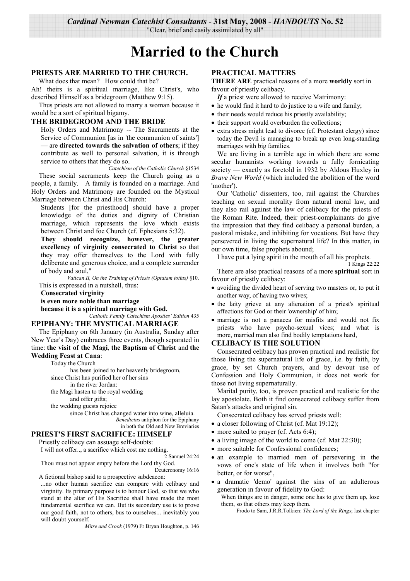"Clear, brief and easily assimilated by all"

# Married to the Church

# PRIESTS ARE MARRIED TO THE CHURCH.

What does that mean? How could that be?

Ah! theirs is a spiritual marriage, like Christ's, who described Himself as a bridegroom (Matthew 9:15).

Thus priests are not allowed to marry a woman because it would be a sort of spiritual bigamy.

### THE BRIDEGROOM AND THE BRIDE

Holy Orders and Matrimony -- The Sacraments at the Service of Communion [as in 'the communion of saints'] - are directed towards the salvation of others; if they contribute as well to personal salvation, it is through service to others that they do so.

Catechism of the Catholic Church §1534 These social sacraments keep the Church going as a people, a family. A family is founded on a marriage. And Holy Orders and Matrimony are founded on the Mystical Marriage between Christ and His Church:

Students [for the priesthood] should have a proper knowledge of the duties and dignity of Christian marriage, which represents the love which exists between Christ and foe Church (cf. Ephesians 5:32).

They should recognize, however, the greater excellency of virginity consecrated to Christ so that they may offer themselves to the Lord with fully deliberate and generous choice, and a complete surrender of body and soul."

Vatican II, On the Training of Priests (Optatam totius) §10. This is expressed in a nutshell, thus:

**Consecrated virginity** 

is even more noble than marriage

because it is a spiritual marriage with God. Catholic Family Catechism Apostles' Edition 435

# EPIPHANY: THE MYSTICAL MARRIAGE

The Epiphany on 6th January (in Australia, Sunday after New Year's Day) embraces three events, though separated in time: the visit of the Magi, the Baptism of Christ and the **Wedding Feast at Cana:** 

Today the Church

has been joined to her heavenly bridegroom, since Christ has purified her of her sins in the river Jordan: the Magi hasten to the royal wedding and offer gifts; the wedding guests rejoice

since Christ has changed water into wine, alleluia. Benedictus antiphon for the Epiphany in both the Old and New Breviaries

## PRIEST'S FIRST SACRIFICE: HIMSELF

Priestly celibacy can assuage self-doubts:

I will not offer..., a sacrifice which cost me nothing.

2 Samuel 24:24

Thou must not appear empty before the Lord thy God. Deuteronomy 16:16

A fictional bishop said to a prospective subdeacon:

...no other human sacrifice can compare with celibacy and virginity. Its primary purpose is to honour God, so that we who stand at the altar of His Sacrifice shall have made the most fundamental sacrifice we can. But its secondary use is to prove our good faith, not to others, bus to ourselves... inevitably you will doubt vourself

Mitre and Crook (1979) Fr Bryan Houghton, p. 146

## **PRACTICAL MATTERS**

**THERE ARE** practical reasons of a more worldly sort in favour of priestly celibacy.

If a priest were allowed to receive Matrimony:

- he would find it hard to do justice to a wife and family;
- their needs would reduce his priestly availability;
- their support would overburden the collections;
- extra stress might lead to divorce (cf. Protestant clergy) since today the Devil is managing to break up even long-standing marriages with big families.

We are living in a terrible age in which there are some secular humanists working towards a fully fornicating society — exactly as foretold in 1932 by Aldous Huxley in Brave New World (which included the abolition of the word 'mother').

Our 'Catholic' dissenters, too, rail against the Churches teaching on sexual morality from natural moral law, and they also rail against the law of celibacy for the priests of the Roman Rite. Indeed, their priest-complainants do give the impression that they find celibacy a personal burden, a pastoral mistake, and inhibiting for vocations. But have they persevered in living the supernatural life? In this matter, in our own time, false prophets abound;

I have put a lying spirit in the mouth of all his prophets. 1 Kings 22:22

There are also practical reasons of a more spiritual sort in favour of priestly celibacy:

- avoiding the divided heart of serving two masters or, to put it another way, of having two wives;
- the laity grieve at any alienation of a priest's spiritual affections for God or their 'ownership' of him;
- marriage is not a panacea for misfits and would not fix priests who have psycho-sexual vices; and what is more, married men also find bodily temptations hard,

## **CELIBACY IS THE SOLUTION**

Consecrated celibacy has proven practical and realistic for those living the supernatural life of grace, i.e. by faith, by grace, by set Church prayers, and by devout use of Confession and Holy Communion, it does not work for those not living supernaturally.

Marital purity, too, is proven practical and realistic for the lay apostolate. Both it find consecrated celibacy suffer from Satan's attacks and original sin.

Consecrated celibacy has served priests well:

- a closer following of Christ (cf. Mat  $19:12$ );
- more suited to prayer (cf. Acts  $6:4$ );
- a living image of the world to come (cf. Mat 22:30);
- more suitable for Confessional confidences;
- an example to married men of persevering in the vows of one's state of life when it involves both "for better, or for worse".
- a dramatic 'demo' against the sins of an adulterous generation in favour of fidelity to God:
	- When things are in danger, some one has to give them up, lose them, so that others may keep them.

Frodo to Sam, J.R.R.Tolkien: The Lord of the Rings; last chapter